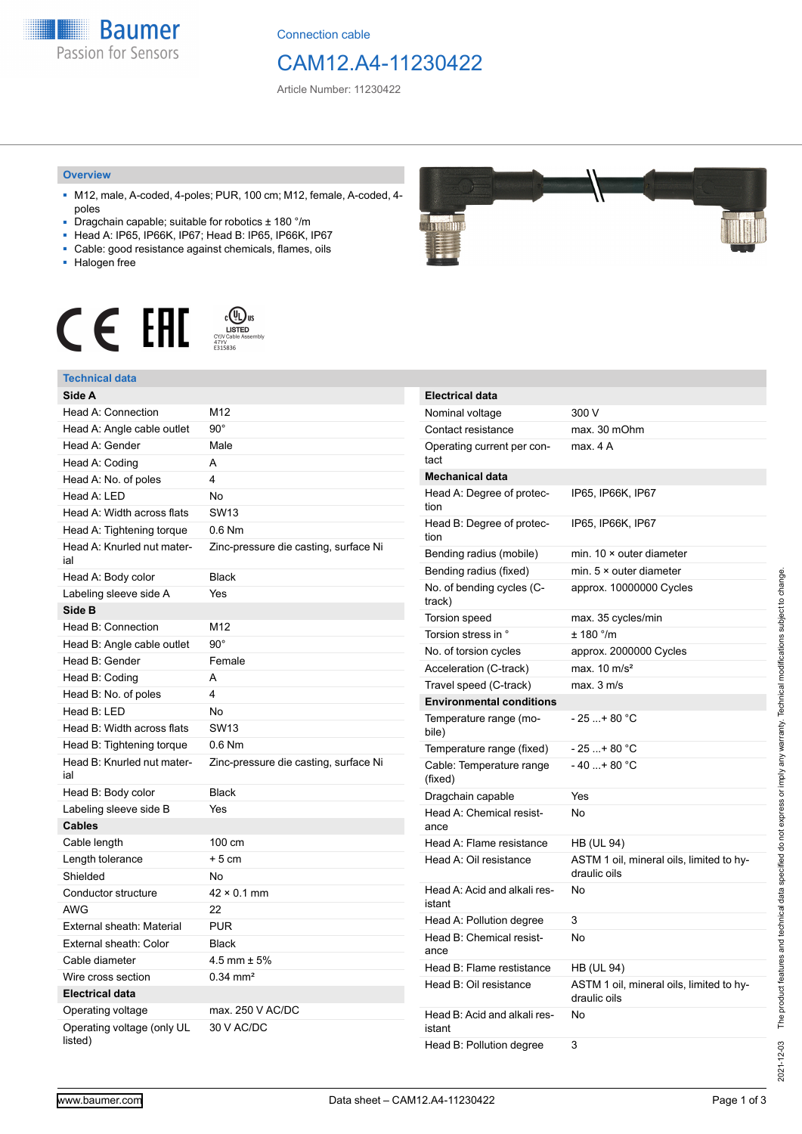**Baumer** Passion for Sensors

Connection cable

# CAM12.A4-11230422

Article Number: 11230422

### **Overview**

- M12, male, A-coded, 4-poles; PUR, 100 cm; M12, female, A-coded, 4 poles
- Dragchain capable; suitable for robotics ± 180 °/m
- Head A: IP65, IP66K, IP67; Head B: IP65, IP66K, IP67
- Cable: good resistance against chemicals, flames, oils
- Halogen free



## **Technical data**

| IULIIILAI UALA                        |                                       |
|---------------------------------------|---------------------------------------|
| Side A                                |                                       |
| Head A: Connection                    | M12                                   |
| Head A: Angle cable outlet            | $90^{\circ}$                          |
| Head A: Gender                        | Male                                  |
| Head A: Coding                        | A                                     |
| Head A: No. of poles                  | 4                                     |
| Head A: LED                           | <b>No</b>                             |
| Head A: Width across flats            | <b>SW13</b>                           |
| Head A: Tightening torque             | $0.6$ Nm                              |
| Head A: Knurled nut mater-<br>ial     | Zinc-pressure die casting, surface Ni |
| Head A: Body color                    | <b>Black</b>                          |
| Labeling sleeve side A                | Yes                                   |
| Side B                                |                                       |
| Head B: Connection                    | M12                                   |
| Head B: Angle cable outlet            | $90^{\circ}$                          |
| Head B: Gender                        | Female                                |
| Head B: Coding                        | A                                     |
| Head B: No. of poles                  | 4                                     |
| Head B: LED                           | No                                    |
| Head B: Width across flats            | <b>SW13</b>                           |
| Head B: Tightening torque             | $0.6$ Nm                              |
| Head B: Knurled nut mater-<br>ial     | Zinc-pressure die casting, surface Ni |
| Head B: Body color                    | <b>Black</b>                          |
| Labeling sleeve side B                | Yes                                   |
| <b>Cables</b>                         |                                       |
| Cable length                          | 100 cm                                |
| Length tolerance                      | $+5$ cm                               |
| Shielded                              | No                                    |
| Conductor structure                   | $42 \times 0.1$ mm                    |
| <b>AWG</b>                            | 22                                    |
| External sheath: Material             | <b>PUR</b>                            |
| External sheath: Color                | Black                                 |
| Cable diameter                        | $4.5$ mm $\pm 5\%$                    |
| Wire cross section                    | $0.34$ mm <sup>2</sup>                |
| <b>Electrical data</b>                |                                       |
| Operating voltage                     | max. 250 V AC/DC                      |
| Operating voltage (only UL<br>listed) | 30 V AC/DC                            |

# **MARITALITY**

| <b>Electrical data</b>                 |                                                          |
|----------------------------------------|----------------------------------------------------------|
| Nominal voltage                        | 300 V                                                    |
| Contact resistance                     | max. 30 mOhm                                             |
| Operating current per con-<br>tact     | max. 4 A                                                 |
| <b>Mechanical data</b>                 |                                                          |
| Head A: Degree of protec-<br>tion      | IP65, IP66K, IP67                                        |
| Head B: Degree of protec-<br>tion      | IP65, IP66K, IP67                                        |
| Bending radius (mobile)                | min. $10 \times$ outer diameter                          |
| Bending radius (fixed)                 | min. $5 \times$ outer diameter                           |
| No. of bending cycles (C-<br>track)    | approx. 10000000 Cycles                                  |
| Torsion speed                          | max. 35 cycles/min                                       |
| Torsion stress in °                    | $± 180$ °/m                                              |
| No. of torsion cycles                  | approx. 2000000 Cycles                                   |
| Acceleration (C-track)                 | max. $10 \text{ m/s}^2$                                  |
| Travel speed (C-track)                 | max. 3 m/s                                               |
| <b>Environmental conditions</b>        |                                                          |
| Temperature range (mo-<br>bile)        | - 25 + 80 °C                                             |
| Temperature range (fixed)              | - 25 + 80 °C                                             |
| Cable: Temperature range<br>(fixed)    | $-40+80 °C$                                              |
| Dragchain capable                      | Yes                                                      |
| Head A: Chemical resist-<br>ance       | No                                                       |
| Head A: Flame resistance               | HB (UL 94)                                               |
| Head A: Oil resistance                 | ASTM 1 oil, mineral oils, limited to hy-<br>draulic oils |
| Head A: Acid and alkali res-<br>istant | No                                                       |
| Head A: Pollution degree               | 3                                                        |
| Head B: Chemical resist-<br>ance       | No                                                       |
| Head B: Flame restistance              | HB (UL 94)                                               |
| Head B: Oil resistance                 | ASTM 1 oil, mineral oils, limited to hy-<br>draulic oils |
| Head B: Acid and alkali res-<br>istant | No                                                       |
| Head B: Pollution degree               | 3                                                        |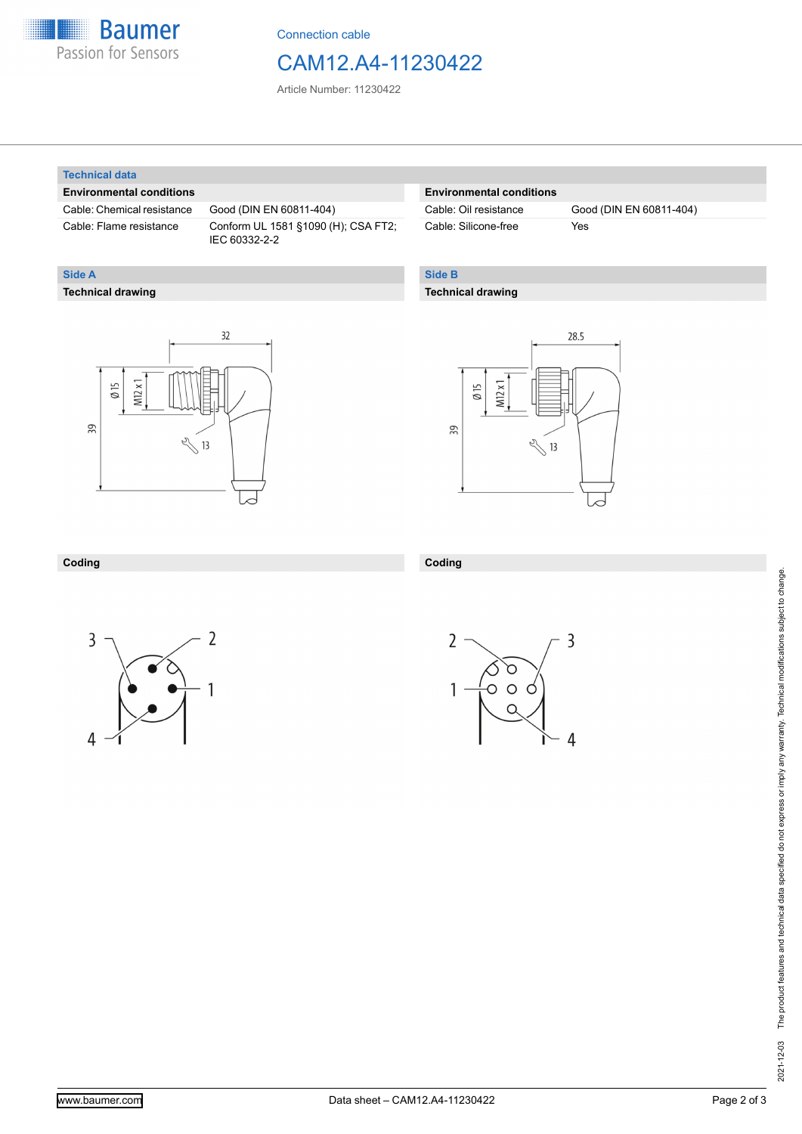

Connection cable

# CAM12.A4-11230422

Article Number: 11230422

### **Technical data**

**Technical drawing**

**Side A**

### **Environmental conditions**

Cable: Chemical resistance Good (DIN EN 60811-404)

Cable: Flame resistance Conform UL 1581 §1090 (H); CSA FT2; IEC 60332-2-2

### **Environmental conditions**

Cable: Silicone-free Yes

Cable: Oil resistance Good (DIN EN 60811-404)

### **Side B**

### **Technical drawing**





### **Coding**



**Coding**